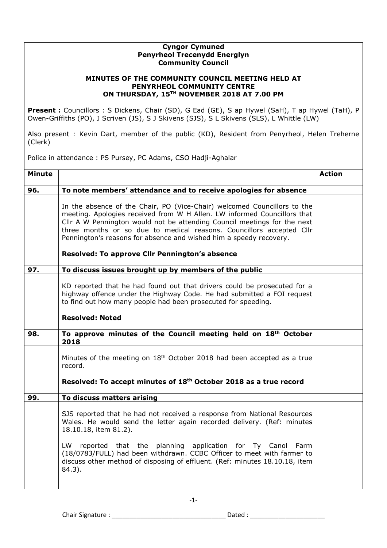## **Cyngor Cymuned Penyrheol Trecenydd Energlyn Community Council**

## **MINUTES OF THE COMMUNITY COUNCIL MEETING HELD AT PENYRHEOL COMMUNITY CENTRE ON THURSDAY, 15TH NOVEMBER 2018 AT 7.00 PM**

**Present :** Councillors : S Dickens, Chair (SD), G Ead (GE), S ap Hywel (SaH), T ap Hywel (TaH), P Owen-Griffiths (PO), J Scriven (JS), S J Skivens (SJS), S L Skivens (SLS), L Whittle (LW)

Also present : Kevin Dart, member of the public (KD), Resident from Penyrheol, Helen Treherne (Clerk)

Police in attendance : PS Pursey, PC Adams, CSO Hadji-Aghalar

| <b>Minute</b> |                                                                                                                                                                                                                                                                                                                                                                                                                                  | <b>Action</b> |
|---------------|----------------------------------------------------------------------------------------------------------------------------------------------------------------------------------------------------------------------------------------------------------------------------------------------------------------------------------------------------------------------------------------------------------------------------------|---------------|
| 96.           | To note members' attendance and to receive apologies for absence                                                                                                                                                                                                                                                                                                                                                                 |               |
|               | In the absence of the Chair, PO (Vice-Chair) welcomed Councillors to the<br>meeting. Apologies received from W H Allen. LW informed Councillors that<br>Cllr A W Pennington would not be attending Council meetings for the next<br>three months or so due to medical reasons. Councillors accepted Cllr<br>Pennington's reasons for absence and wished him a speedy recovery.<br>Resolved: To approve Cllr Pennington's absence |               |
| 97.           | To discuss issues brought up by members of the public                                                                                                                                                                                                                                                                                                                                                                            |               |
|               | KD reported that he had found out that drivers could be prosecuted for a<br>highway offence under the Highway Code. He had submitted a FOI request<br>to find out how many people had been prosecuted for speeding.<br><b>Resolved: Noted</b>                                                                                                                                                                                    |               |
| 98.           | To approve minutes of the Council meeting held on 18th October<br>2018                                                                                                                                                                                                                                                                                                                                                           |               |
|               | Minutes of the meeting on 18 <sup>th</sup> October 2018 had been accepted as a true<br>record.<br>Resolved: To accept minutes of 18th October 2018 as a true record                                                                                                                                                                                                                                                              |               |
| 99.           | To discuss matters arising                                                                                                                                                                                                                                                                                                                                                                                                       |               |
|               | SJS reported that he had not received a response from National Resources<br>Wales. He would send the letter again recorded delivery. (Ref: minutes<br>18.10.18, item 81.2).<br>LW<br>reported that the planning application for Ty Canol Farm<br>(18/0783/FULL) had been withdrawn. CCBC Officer to meet with farmer to<br>discuss other method of disposing of effluent. (Ref: minutes 18.10.18, item<br>84.3).                 |               |

-1-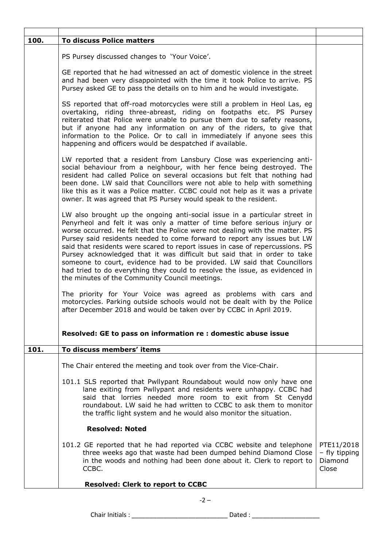| 100.<br><b>To discuss Police matters</b><br>PS Pursey discussed changes to 'Your Voice'.                                                                                                                                                                                                                                                                                                                                                                                                                                                                                                                                                                                                    |                          |
|---------------------------------------------------------------------------------------------------------------------------------------------------------------------------------------------------------------------------------------------------------------------------------------------------------------------------------------------------------------------------------------------------------------------------------------------------------------------------------------------------------------------------------------------------------------------------------------------------------------------------------------------------------------------------------------------|--------------------------|
|                                                                                                                                                                                                                                                                                                                                                                                                                                                                                                                                                                                                                                                                                             |                          |
|                                                                                                                                                                                                                                                                                                                                                                                                                                                                                                                                                                                                                                                                                             |                          |
| GE reported that he had witnessed an act of domestic violence in the street<br>and had been very disappointed with the time it took Police to arrive. PS<br>Pursey asked GE to pass the details on to him and he would investigate.                                                                                                                                                                                                                                                                                                                                                                                                                                                         |                          |
| SS reported that off-road motorcycles were still a problem in Heol Las, eg<br>overtaking, riding three-abreast, riding on footpaths etc. PS Pursey<br>reiterated that Police were unable to pursue them due to safety reasons,<br>but if anyone had any information on any of the riders, to give that<br>information to the Police. Or to call in immediately if anyone sees this<br>happening and officers would be despatched if available.                                                                                                                                                                                                                                              |                          |
| LW reported that a resident from Lansbury Close was experiencing anti-<br>social behaviour from a neighbour, with her fence being destroyed. The<br>resident had called Police on several occasions but felt that nothing had<br>been done. LW said that Councillors were not able to help with something<br>like this as it was a Police matter. CCBC could not help as it was a private<br>owner. It was agreed that PS Pursey would speak to the resident.                                                                                                                                                                                                                               |                          |
| LW also brought up the ongoing anti-social issue in a particular street in<br>Penyrheol and felt it was only a matter of time before serious injury or<br>worse occurred. He felt that the Police were not dealing with the matter. PS<br>Pursey said residents needed to come forward to report any issues but LW<br>said that residents were scared to report issues in case of repercussions. PS<br>Pursey acknowledged that it was difficult but said that in order to take<br>someone to court, evidence had to be provided. LW said that Councillors<br>had tried to do everything they could to resolve the issue, as evidenced in<br>the minutes of the Community Council meetings. |                          |
| The priority for Your Voice was agreed as problems with cars and<br>motorcycles. Parking outside schools would not be dealt with by the Police<br>after December 2018 and would be taken over by CCBC in April 2019.                                                                                                                                                                                                                                                                                                                                                                                                                                                                        |                          |
| Resolved: GE to pass on information re : domestic abuse issue                                                                                                                                                                                                                                                                                                                                                                                                                                                                                                                                                                                                                               |                          |
| 101.<br>To discuss members' items                                                                                                                                                                                                                                                                                                                                                                                                                                                                                                                                                                                                                                                           |                          |
| The Chair entered the meeting and took over from the Vice-Chair.                                                                                                                                                                                                                                                                                                                                                                                                                                                                                                                                                                                                                            |                          |
| 101.1 SLS reported that Pwllypant Roundabout would now only have one<br>lane exiting from Pwllypant and residents were unhappy. CCBC had<br>said that lorries needed more room to exit from St Cenydd<br>roundabout. LW said he had written to CCBC to ask them to monitor<br>the traffic light system and he would also monitor the situation.                                                                                                                                                                                                                                                                                                                                             |                          |
| <b>Resolved: Noted</b>                                                                                                                                                                                                                                                                                                                                                                                                                                                                                                                                                                                                                                                                      |                          |
|                                                                                                                                                                                                                                                                                                                                                                                                                                                                                                                                                                                                                                                                                             | PTE11/2018               |
| 101.2 GE reported that he had reported via CCBC website and telephone<br>three weeks ago that waste had been dumped behind Diamond Close<br>in the woods and nothing had been done about it. Clerk to report to<br>Close<br>CCBC.                                                                                                                                                                                                                                                                                                                                                                                                                                                           | - fly tipping<br>Diamond |

Chair Initials : \_\_\_\_\_\_\_\_\_\_\_\_\_\_\_\_\_\_\_\_\_\_\_\_\_\_\_ Dated : \_\_\_\_\_\_\_\_\_\_\_\_\_\_\_\_\_\_\_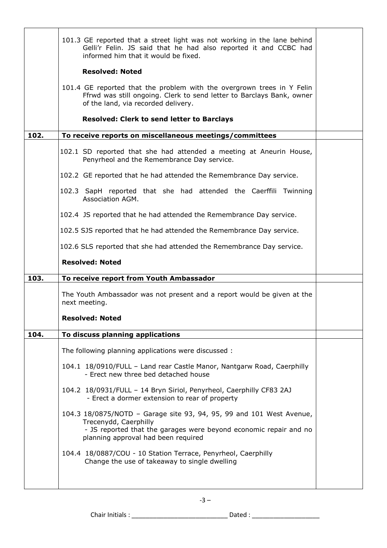|      | 101.3 GE reported that a street light was not working in the lane behind<br>Gelli'r Felin. JS said that he had also reported it and CCBC had<br>informed him that it would be fixed.                      |  |
|------|-----------------------------------------------------------------------------------------------------------------------------------------------------------------------------------------------------------|--|
|      | <b>Resolved: Noted</b>                                                                                                                                                                                    |  |
|      | 101.4 GE reported that the problem with the overgrown trees in Y Felin<br>Ffrwd was still ongoing. Clerk to send letter to Barclays Bank, owner<br>of the land, via recorded delivery.                    |  |
|      | <b>Resolved: Clerk to send letter to Barclays</b>                                                                                                                                                         |  |
| 102. | To receive reports on miscellaneous meetings/committees                                                                                                                                                   |  |
|      | 102.1 SD reported that she had attended a meeting at Aneurin House,<br>Penyrheol and the Remembrance Day service.                                                                                         |  |
|      | 102.2 GE reported that he had attended the Remembrance Day service.                                                                                                                                       |  |
|      | 102.3 SapH reported that she had attended the Caerffili Twinning<br>Association AGM.                                                                                                                      |  |
|      | 102.4 JS reported that he had attended the Remembrance Day service.                                                                                                                                       |  |
|      | 102.5 SJS reported that he had attended the Remembrance Day service.                                                                                                                                      |  |
|      | 102.6 SLS reported that she had attended the Remembrance Day service.                                                                                                                                     |  |
|      | <b>Resolved: Noted</b>                                                                                                                                                                                    |  |
| 103. | To receive report from Youth Ambassador                                                                                                                                                                   |  |
|      | The Youth Ambassador was not present and a report would be given at the<br>next meeting.                                                                                                                  |  |
|      | <b>Resolved: Noted</b>                                                                                                                                                                                    |  |
| 104. | To discuss planning applications                                                                                                                                                                          |  |
|      | The following planning applications were discussed :                                                                                                                                                      |  |
|      | 104.1 18/0910/FULL - Land rear Castle Manor, Nantgarw Road, Caerphilly<br>- Erect new three bed detached house                                                                                            |  |
|      | 104.2 18/0931/FULL - 14 Bryn Siriol, Penyrheol, Caerphilly CF83 2AJ<br>- Erect a dormer extension to rear of property                                                                                     |  |
|      | 104.3 18/0875/NOTD - Garage site 93, 94, 95, 99 and 101 West Avenue,<br>Trecenydd, Caerphilly<br>- JS reported that the garages were beyond economic repair and no<br>planning approval had been required |  |
|      | 104.4 18/0887/COU - 10 Station Terrace, Penyrheol, Caerphilly<br>Change the use of takeaway to single dwelling                                                                                            |  |

-3 –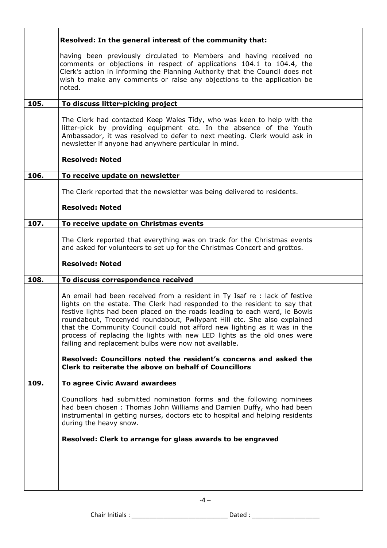|      | Resolved: In the general interest of the community that:                                                                                                                                                                                                                                                                                                                                                                                              |  |
|------|-------------------------------------------------------------------------------------------------------------------------------------------------------------------------------------------------------------------------------------------------------------------------------------------------------------------------------------------------------------------------------------------------------------------------------------------------------|--|
|      | having been previously circulated to Members and having received no<br>comments or objections in respect of applications 104.1 to 104.4, the<br>Clerk's action in informing the Planning Authority that the Council does not<br>wish to make any comments or raise any objections to the application be<br>noted.                                                                                                                                     |  |
| 105. | To discuss litter-picking project                                                                                                                                                                                                                                                                                                                                                                                                                     |  |
|      | The Clerk had contacted Keep Wales Tidy, who was keen to help with the<br>litter-pick by providing equipment etc. In the absence of the Youth<br>Ambassador, it was resolved to defer to next meeting. Clerk would ask in<br>newsletter if anyone had anywhere particular in mind.                                                                                                                                                                    |  |
|      | <b>Resolved: Noted</b>                                                                                                                                                                                                                                                                                                                                                                                                                                |  |
| 106. | To receive update on newsletter                                                                                                                                                                                                                                                                                                                                                                                                                       |  |
|      | The Clerk reported that the newsletter was being delivered to residents.                                                                                                                                                                                                                                                                                                                                                                              |  |
|      | <b>Resolved: Noted</b>                                                                                                                                                                                                                                                                                                                                                                                                                                |  |
| 107. | To receive update on Christmas events                                                                                                                                                                                                                                                                                                                                                                                                                 |  |
|      | The Clerk reported that everything was on track for the Christmas events<br>and asked for volunteers to set up for the Christmas Concert and grottos.                                                                                                                                                                                                                                                                                                 |  |
|      | <b>Resolved: Noted</b>                                                                                                                                                                                                                                                                                                                                                                                                                                |  |
| 108. | To discuss correspondence received                                                                                                                                                                                                                                                                                                                                                                                                                    |  |
|      | An email had been received from a resident in Ty Isaf re : lack of festive                                                                                                                                                                                                                                                                                                                                                                            |  |
|      | lights on the estate. The Clerk had responded to the resident to say that<br>festive lights had been placed on the roads leading to each ward, ie Bowls<br>roundabout, Trecenydd roundabout, Pwllypant Hill etc. She also explained<br>that the Community Council could not afford new lighting as it was in the<br>process of replacing the lights with new LED lights as the old ones were<br>failing and replacement bulbs were now not available. |  |
|      | Resolved: Councillors noted the resident's concerns and asked the<br>Clerk to reiterate the above on behalf of Councillors                                                                                                                                                                                                                                                                                                                            |  |
| 109. | To agree Civic Award awardees                                                                                                                                                                                                                                                                                                                                                                                                                         |  |
|      | Councillors had submitted nomination forms and the following nominees<br>had been chosen: Thomas John Williams and Damien Duffy, who had been<br>instrumental in getting nurses, doctors etc to hospital and helping residents<br>during the heavy snow.                                                                                                                                                                                              |  |
|      | Resolved: Clerk to arrange for glass awards to be engraved                                                                                                                                                                                                                                                                                                                                                                                            |  |
|      |                                                                                                                                                                                                                                                                                                                                                                                                                                                       |  |
|      |                                                                                                                                                                                                                                                                                                                                                                                                                                                       |  |

Chair Initials : \_\_\_\_\_\_\_\_\_\_\_\_\_\_\_\_\_\_\_\_\_\_\_\_\_\_\_ Dated : \_\_\_\_\_\_\_\_\_\_\_\_\_\_\_\_\_\_\_

 $-4 -$